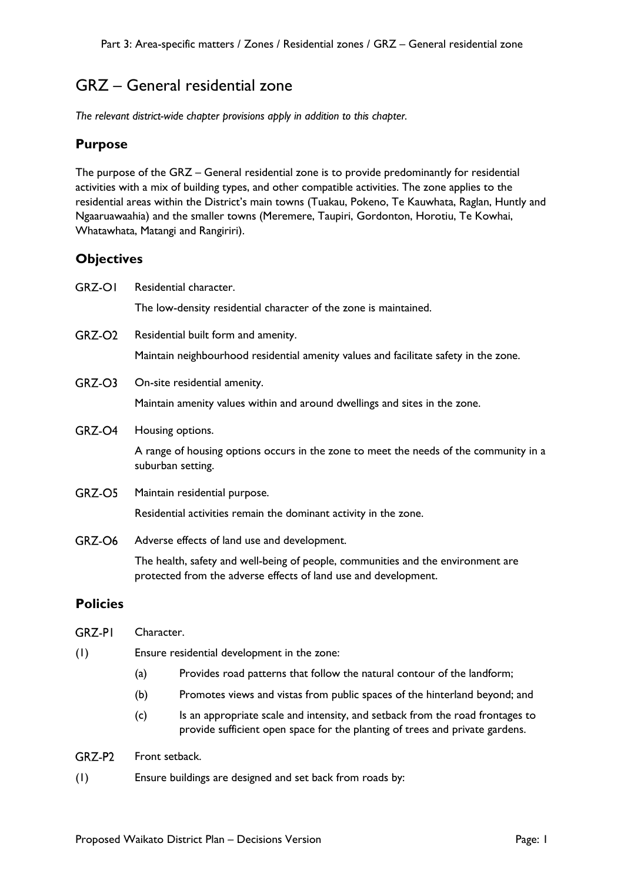## GRZ – General residential zone

*The relevant district-wide chapter provisions apply in addition to this chapter.* 

## **Purpose**

The purpose of the GRZ – General residential zone is to provide predominantly for residential activities with a mix of building types, and other compatible activities. The zone applies to the residential areas within the District's main towns (Tuakau, Pokeno, Te Kauwhata, Raglan, Huntly and Ngaaruawaahia) and the smaller towns (Meremere, Taupiri, Gordonton, Horotiu, Te Kowhai, Whatawhata, Matangi and Rangiriri).

## **Objectives**

| <b>GRZ-OI</b>      | Residential character.                                                                                                                              |                                                                                                                                                               |
|--------------------|-----------------------------------------------------------------------------------------------------------------------------------------------------|---------------------------------------------------------------------------------------------------------------------------------------------------------------|
|                    |                                                                                                                                                     | The low-density residential character of the zone is maintained.                                                                                              |
| GRZ-O <sub>2</sub> | Residential built form and amenity.                                                                                                                 |                                                                                                                                                               |
|                    |                                                                                                                                                     | Maintain neighbourhood residential amenity values and facilitate safety in the zone.                                                                          |
| GRZ-O3             |                                                                                                                                                     | On-site residential amenity.                                                                                                                                  |
|                    |                                                                                                                                                     | Maintain amenity values within and around dwellings and sites in the zone.                                                                                    |
| GRZ-O4             | Housing options.                                                                                                                                    |                                                                                                                                                               |
|                    |                                                                                                                                                     | A range of housing options occurs in the zone to meet the needs of the community in a<br>suburban setting.                                                    |
| GRZ-O5             |                                                                                                                                                     | Maintain residential purpose.                                                                                                                                 |
|                    |                                                                                                                                                     | Residential activities remain the dominant activity in the zone.                                                                                              |
| GRZ-O6             |                                                                                                                                                     | Adverse effects of land use and development.                                                                                                                  |
|                    | The health, safety and well-being of people, communities and the environment are<br>protected from the adverse effects of land use and development. |                                                                                                                                                               |
| <b>Policies</b>    |                                                                                                                                                     |                                                                                                                                                               |
| <b>GRZ-PI</b>      | Character.                                                                                                                                          |                                                                                                                                                               |
| (1)                | Ensure residential development in the zone:                                                                                                         |                                                                                                                                                               |
|                    | (a)                                                                                                                                                 | Provides road patterns that follow the natural contour of the landform;                                                                                       |
|                    | (b)                                                                                                                                                 | Promotes views and vistas from public spaces of the hinterland beyond; and                                                                                    |
|                    | (c)                                                                                                                                                 | Is an appropriate scale and intensity, and setback from the road frontages to<br>provide sufficient open space for the planting of trees and private gardens. |
| GRZ-P2             | Front setback.                                                                                                                                      |                                                                                                                                                               |

(1) Ensure buildings are designed and set back from roads by: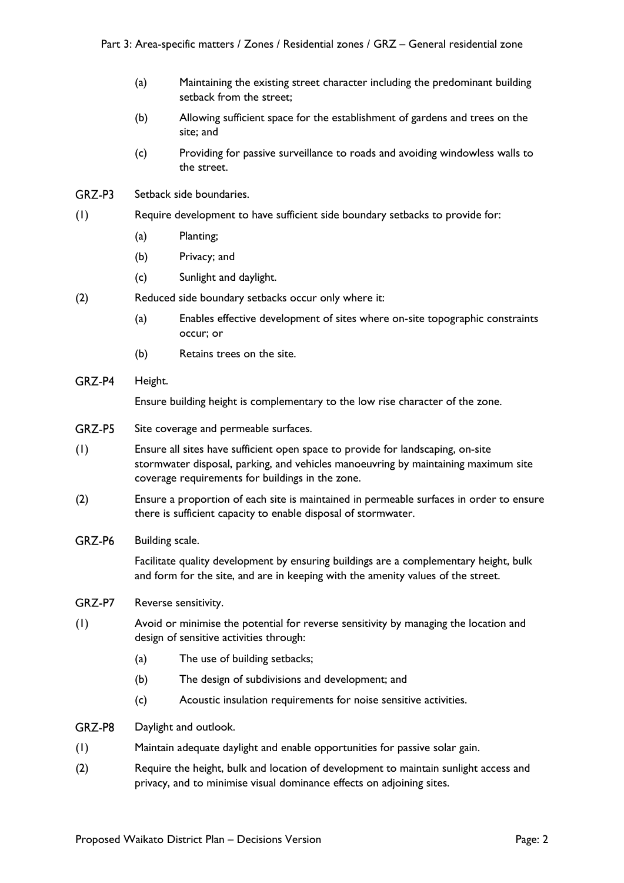- (a) Maintaining the existing street character including the predominant building setback from the street;
- (b) Allowing sufficient space for the establishment of gardens and trees on the site; and
- (c) Providing for passive surveillance to roads and avoiding windowless walls to the street.
- GRZ-P3 Setback side boundaries.
- (1) Require development to have sufficient side boundary setbacks to provide for:
	- (a) Planting;
	- (b) Privacy; and
	- (c) Sunlight and daylight.
- (2) Reduced side boundary setbacks occur only where it:
	- (a) Enables effective development of sites where on-site topographic constraints occur; or
	- (b) Retains trees on the site.
- GRZ-P4 Height.

Ensure building height is complementary to the low rise character of the zone.

- GRZ-P5 Site coverage and permeable surfaces.
- (1) Ensure all sites have sufficient open space to provide for landscaping, on-site stormwater disposal, parking, and vehicles manoeuvring by maintaining maximum site coverage requirements for buildings in the zone.
- (2) Ensure a proportion of each site is maintained in permeable surfaces in order to ensure there is sufficient capacity to enable disposal of stormwater.
- GRZ-P6 Building scale.

Facilitate quality development by ensuring buildings are a complementary height, bulk and form for the site, and are in keeping with the amenity values of the street.

- GRZ-P7 Reverse sensitivity.
- (1) Avoid or minimise the potential for reverse sensitivity by managing the location and design of sensitive activities through:
	- (a) The use of building setbacks;
	- (b) The design of subdivisions and development; and
	- (c) Acoustic insulation requirements for noise sensitive activities.
- GRZ-P8 Daylight and outlook.
- (1) Maintain adequate daylight and enable opportunities for passive solar gain.
- (2) Require the height, bulk and location of development to maintain sunlight access and privacy, and to minimise visual dominance effects on adjoining sites.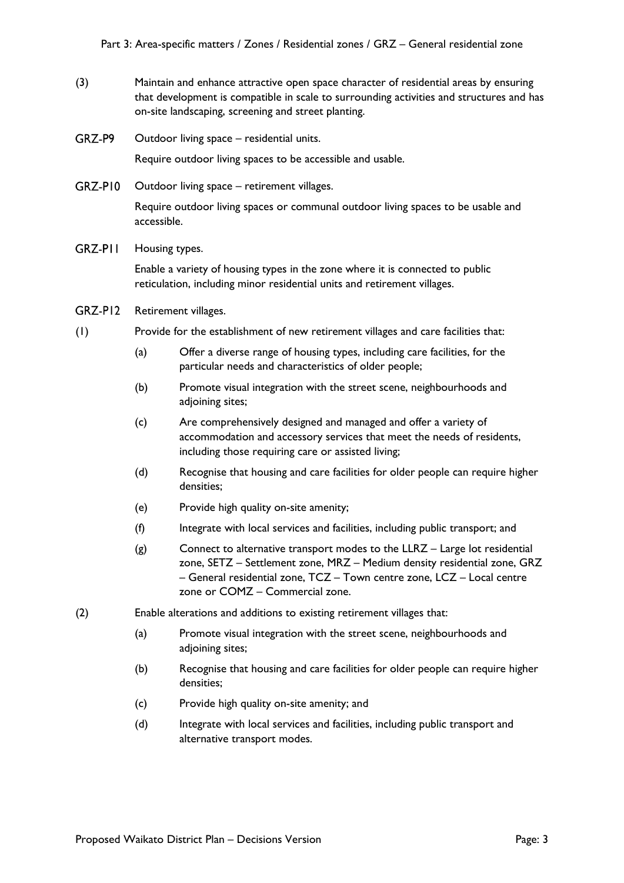- (3) Maintain and enhance attractive open space character of residential areas by ensuring that development is compatible in scale to surrounding activities and structures and has on-site landscaping, screening and street planting.
- GRZ-P9 Outdoor living space – residential units.

Require outdoor living spaces to be accessible and usable.

GRZ-PI0 Outdoor living space – retirement villages.

> Require outdoor living spaces or communal outdoor living spaces to be usable and accessible.

GRZ-PII Housing types.

> Enable a variety of housing types in the zone where it is connected to public reticulation, including minor residential units and retirement villages.

- GRZ-PI2 Retirement villages.
- (1) Provide for the establishment of new retirement villages and care facilities that:
	- (a) Offer a diverse range of housing types, including care facilities, for the particular needs and characteristics of older people;
	- (b) Promote visual integration with the street scene, neighbourhoods and adjoining sites;
	- (c) Are comprehensively designed and managed and offer a variety of accommodation and accessory services that meet the needs of residents, including those requiring care or assisted living;
	- (d) Recognise that housing and care facilities for older people can require higher densities;
	- (e) Provide high quality on-site amenity;
	- (f) Integrate with local services and facilities, including public transport; and
	- (g) Connect to alternative transport modes to the LLRZ Large lot residential zone, SETZ – Settlement zone, MRZ – Medium density residential zone, GRZ – General residential zone, TCZ – Town centre zone, LCZ – Local centre zone or COMZ – Commercial zone.
- (2) Enable alterations and additions to existing retirement villages that:
	- (a) Promote visual integration with the street scene, neighbourhoods and adjoining sites;
	- (b) Recognise that housing and care facilities for older people can require higher densities;
	- (c) Provide high quality on-site amenity; and
	- (d) Integrate with local services and facilities, including public transport and alternative transport modes.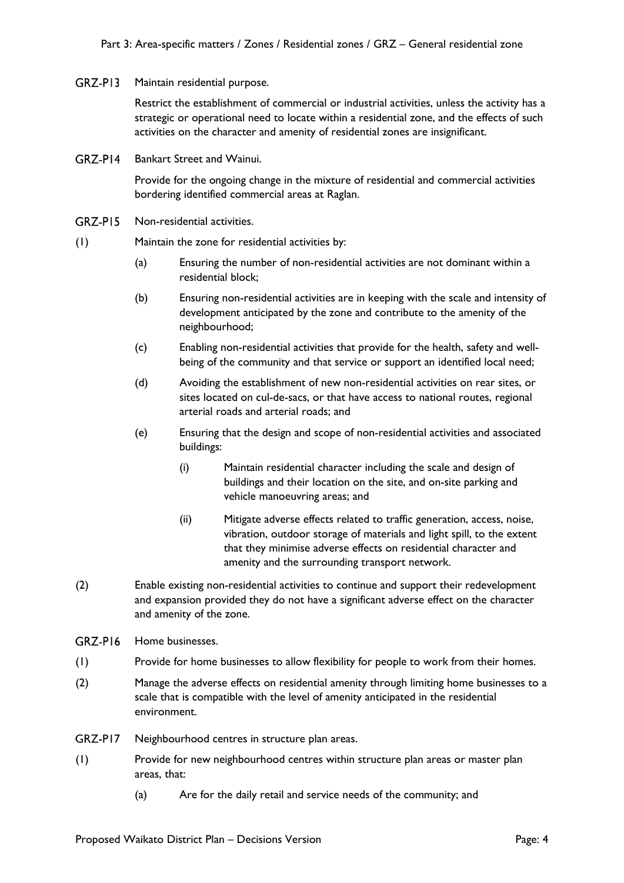GRZ-PI3 Maintain residential purpose.

> Restrict the establishment of commercial or industrial activities, unless the activity has a strategic or operational need to locate within a residential zone, and the effects of such activities on the character and amenity of residential zones are insignificant.

 $GRZ-PI4$ Bankart Street and Wainui.

> Provide for the ongoing change in the mixture of residential and commercial activities bordering identified commercial areas at Raglan.

- $GRZ-PI5$ Non-residential activities.
- (1) Maintain the zone for residential activities by:
	- (a) Ensuring the number of non-residential activities are not dominant within a residential block;
	- (b) Ensuring non-residential activities are in keeping with the scale and intensity of development anticipated by the zone and contribute to the amenity of the neighbourhood;
	- (c) Enabling non-residential activities that provide for the health, safety and wellbeing of the community and that service or support an identified local need;
	- (d) Avoiding the establishment of new non-residential activities on rear sites, or sites located on cul-de-sacs, or that have access to national routes, regional arterial roads and arterial roads; and
	- (e) Ensuring that the design and scope of non-residential activities and associated buildings:
		- (i) Maintain residential character including the scale and design of buildings and their location on the site, and on-site parking and vehicle manoeuvring areas; and
		- (ii) Mitigate adverse effects related to traffic generation, access, noise, vibration, outdoor storage of materials and light spill, to the extent that they minimise adverse effects on residential character and amenity and the surrounding transport network.
- (2) Enable existing non-residential activities to continue and support their redevelopment and expansion provided they do not have a significant adverse effect on the character and amenity of the zone.
- $GRZ-PI6$ Home businesses.
- (1) Provide for home businesses to allow flexibility for people to work from their homes.
- (2) Manage the adverse effects on residential amenity through limiting home businesses to a scale that is compatible with the level of amenity anticipated in the residential environment.
- GRZ-PI7 Neighbourhood centres in structure plan areas.
- (1) Provide for new neighbourhood centres within structure plan areas or master plan areas, that:
	- (a) Are for the daily retail and service needs of the community; and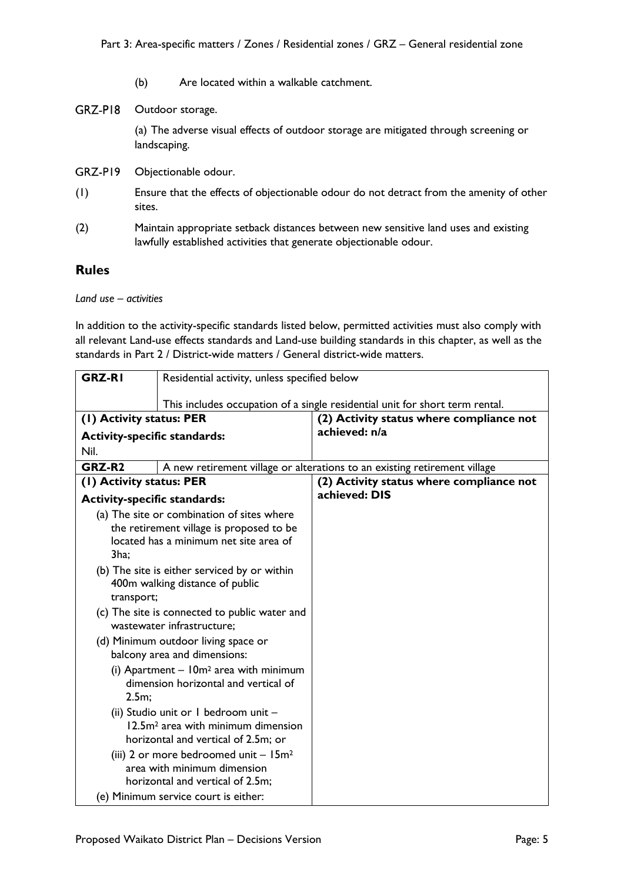- (b) Are located within a walkable catchment.
- GRZ-PI8 Outdoor storage.

(a) The adverse visual effects of outdoor storage are mitigated through screening or landscaping.

- GRZ-PI9 Objectionable odour.
- (1) Ensure that the effects of objectionable odour do not detract from the amenity of other sites.
- (2) Maintain appropriate setback distances between new sensitive land uses and existing lawfully established activities that generate objectionable odour.

## **Rules**

*Land use – activities*

In addition to the activity-specific standards listed below, permitted activities must also comply with all relevant Land-use effects standards and Land-use building standards in this chapter, as well as the standards in Part 2 / District-wide matters / General district-wide matters.

| <b>GRZ-RI</b>                                                                                                                                                                                                                             | Residential activity, unless specified below |                                                                              |
|-------------------------------------------------------------------------------------------------------------------------------------------------------------------------------------------------------------------------------------------|----------------------------------------------|------------------------------------------------------------------------------|
|                                                                                                                                                                                                                                           |                                              | This includes occupation of a single residential unit for short term rental. |
| (1) Activity status: PER                                                                                                                                                                                                                  |                                              | (2) Activity status where compliance not                                     |
| <b>Activity-specific standards:</b>                                                                                                                                                                                                       |                                              | achieved: n/a                                                                |
| Nil.                                                                                                                                                                                                                                      |                                              |                                                                              |
| GRZ-R <sub>2</sub>                                                                                                                                                                                                                        |                                              | A new retirement village or alterations to an existing retirement village    |
| (1) Activity status: PER                                                                                                                                                                                                                  |                                              | (2) Activity status where compliance not                                     |
| <b>Activity-specific standards:</b>                                                                                                                                                                                                       |                                              | achieved: DIS                                                                |
| (a) The site or combination of sites where<br>the retirement village is proposed to be<br>located has a minimum net site area of<br>3ha;<br>(b) The site is either serviced by or within<br>400m walking distance of public<br>transport; |                                              |                                                                              |
| (c) The site is connected to public water and<br>wastewater infrastructure:                                                                                                                                                               |                                              |                                                                              |
| (d) Minimum outdoor living space or<br>balcony area and dimensions:                                                                                                                                                                       |                                              |                                                                              |
| (i) Apartment $-10m^2$ area with minimum<br>dimension horizontal and vertical of<br>2.5m;                                                                                                                                                 |                                              |                                                                              |
| (ii) Studio unit or I bedroom unit -<br>12.5m <sup>2</sup> area with minimum dimension<br>horizontal and vertical of 2.5m; or                                                                                                             |                                              |                                                                              |
| (iii) 2 or more bedroomed unit $-15m^2$<br>area with minimum dimension<br>horizontal and vertical of 2.5m;                                                                                                                                |                                              |                                                                              |
| (e) Minimum service court is either:                                                                                                                                                                                                      |                                              |                                                                              |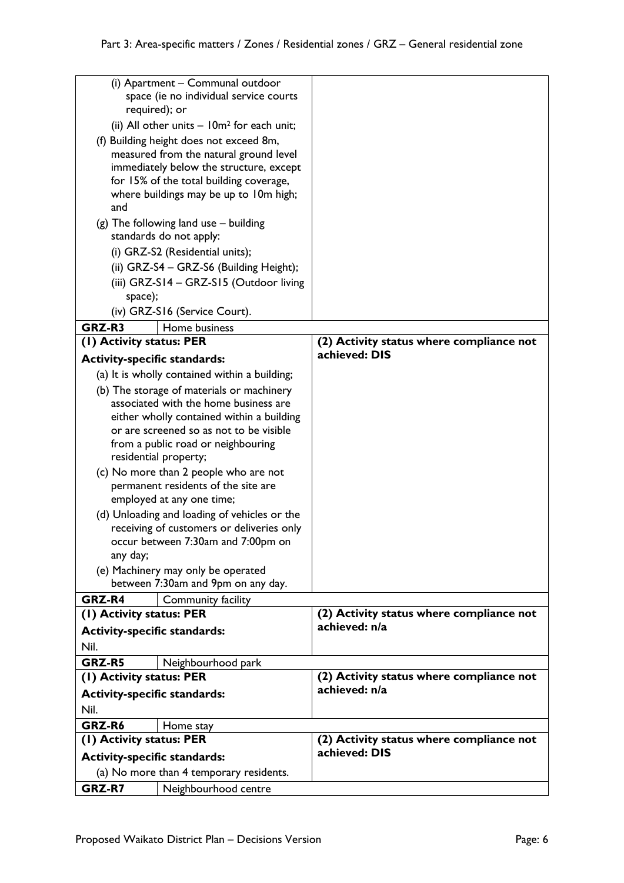| (i) Apartment - Communal outdoor<br>space (ie no individual service courts<br>required); or                                  |                                          |
|------------------------------------------------------------------------------------------------------------------------------|------------------------------------------|
| (ii) All other units $-10m^2$ for each unit;                                                                                 |                                          |
| (f) Building height does not exceed 8m,<br>measured from the natural ground level                                            |                                          |
| immediately below the structure, except<br>for 15% of the total building coverage,<br>where buildings may be up to 10m high; |                                          |
| and                                                                                                                          |                                          |
| $(g)$ The following land use $-$ building<br>standards do not apply:                                                         |                                          |
| (i) GRZ-S2 (Residential units);                                                                                              |                                          |
| (ii) GRZ-S4 - GRZ-S6 (Building Height);                                                                                      |                                          |
| (iii) GRZ-S14 - GRZ-S15 (Outdoor living                                                                                      |                                          |
| space);                                                                                                                      |                                          |
| (iv) GRZ-S16 (Service Court).                                                                                                |                                          |
| GRZ-R3<br>Home business                                                                                                      |                                          |
| (I) Activity status: PER                                                                                                     | (2) Activity status where compliance not |
| <b>Activity-specific standards:</b>                                                                                          | achieved: DIS                            |
| (a) It is wholly contained within a building;                                                                                |                                          |
| (b) The storage of materials or machinery                                                                                    |                                          |
| associated with the home business are                                                                                        |                                          |
| either wholly contained within a building<br>or are screened so as not to be visible                                         |                                          |
| from a public road or neighbouring                                                                                           |                                          |
| residential property;                                                                                                        |                                          |
| (c) No more than 2 people who are not                                                                                        |                                          |
| permanent residents of the site are                                                                                          |                                          |
| employed at any one time;                                                                                                    |                                          |
| (d) Unloading and loading of vehicles or the                                                                                 |                                          |
| receiving of customers or deliveries only<br>occur between 7:30am and 7:00pm on                                              |                                          |
| any day;                                                                                                                     |                                          |
| (e) Machinery may only be operated                                                                                           |                                          |
| between 7:30am and 9pm on any day.                                                                                           |                                          |
| GRZ-R4<br>Community facility<br>(1) Activity status: PER                                                                     | (2) Activity status where compliance not |
|                                                                                                                              | achieved: n/a                            |
| <b>Activity-specific standards:</b><br>Nil.                                                                                  |                                          |
| GRZ-R5                                                                                                                       |                                          |
| Neighbourhood park<br>(1) Activity status: PER                                                                               | (2) Activity status where compliance not |
| <b>Activity-specific standards:</b>                                                                                          | achieved: n/a                            |
| Nil.                                                                                                                         |                                          |
| GRZ-R6<br>Home stay                                                                                                          |                                          |
| (1) Activity status: PER                                                                                                     | (2) Activity status where compliance not |
| <b>Activity-specific standards:</b>                                                                                          | achieved: DIS                            |
| (a) No more than 4 temporary residents.                                                                                      |                                          |
| GRZ-R7<br>Neighbourhood centre                                                                                               |                                          |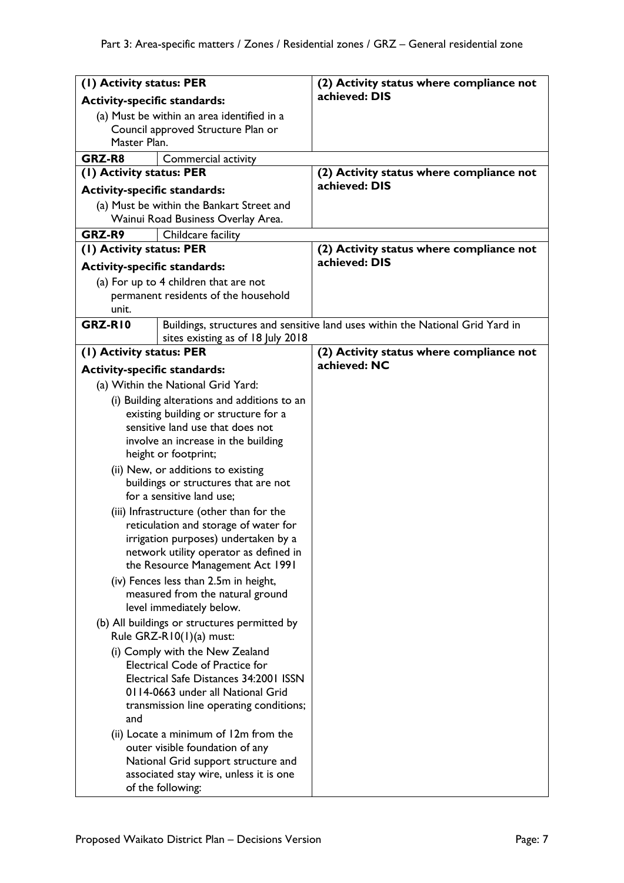| (1) Activity status: PER                                                                                                                                                                                                                                                                                         |                                                                                                         | (2) Activity status where compliance not                                       |
|------------------------------------------------------------------------------------------------------------------------------------------------------------------------------------------------------------------------------------------------------------------------------------------------------------------|---------------------------------------------------------------------------------------------------------|--------------------------------------------------------------------------------|
| <b>Activity-specific standards:</b>                                                                                                                                                                                                                                                                              |                                                                                                         | achieved: DIS                                                                  |
| (a) Must be within an area identified in a<br>Council approved Structure Plan or<br>Master Plan.                                                                                                                                                                                                                 |                                                                                                         |                                                                                |
| GRZ-R8                                                                                                                                                                                                                                                                                                           | Commercial activity                                                                                     |                                                                                |
| (1) Activity status: PER<br><b>Activity-specific standards:</b>                                                                                                                                                                                                                                                  |                                                                                                         | (2) Activity status where compliance not<br>achieved: DIS                      |
|                                                                                                                                                                                                                                                                                                                  | (a) Must be within the Bankart Street and<br>Wainui Road Business Overlay Area.                         |                                                                                |
| GRZ-R9                                                                                                                                                                                                                                                                                                           | Childcare facility                                                                                      |                                                                                |
| (1) Activity status: PER                                                                                                                                                                                                                                                                                         |                                                                                                         | (2) Activity status where compliance not                                       |
| <b>Activity-specific standards:</b>                                                                                                                                                                                                                                                                              |                                                                                                         | achieved: DIS                                                                  |
|                                                                                                                                                                                                                                                                                                                  | (a) For up to 4 children that are not                                                                   |                                                                                |
|                                                                                                                                                                                                                                                                                                                  | permanent residents of the household                                                                    |                                                                                |
| unit.                                                                                                                                                                                                                                                                                                            |                                                                                                         |                                                                                |
| GRZ-RI0                                                                                                                                                                                                                                                                                                          | sites existing as of 18 July 2018                                                                       | Buildings, structures and sensitive land uses within the National Grid Yard in |
| (1) Activity status: PER                                                                                                                                                                                                                                                                                         |                                                                                                         | (2) Activity status where compliance not                                       |
| <b>Activity-specific standards:</b>                                                                                                                                                                                                                                                                              |                                                                                                         | achieved: NC                                                                   |
|                                                                                                                                                                                                                                                                                                                  | (a) Within the National Grid Yard:                                                                      |                                                                                |
|                                                                                                                                                                                                                                                                                                                  | (i) Building alterations and additions to an                                                            |                                                                                |
|                                                                                                                                                                                                                                                                                                                  | existing building or structure for a                                                                    |                                                                                |
|                                                                                                                                                                                                                                                                                                                  | sensitive land use that does not                                                                        |                                                                                |
|                                                                                                                                                                                                                                                                                                                  | involve an increase in the building<br>height or footprint;                                             |                                                                                |
|                                                                                                                                                                                                                                                                                                                  | (ii) New, or additions to existing<br>buildings or structures that are not<br>for a sensitive land use: |                                                                                |
| (iii) Infrastructure (other than for the<br>reticulation and storage of water for<br>irrigation purposes) undertaken by a<br>network utility operator as defined in<br>the Resource Management Act 1991<br>(iv) Fences less than 2.5m in height,<br>measured from the natural ground<br>level immediately below. |                                                                                                         |                                                                                |
| (b) All buildings or structures permitted by<br>Rule GRZ-R10(1)(a) must:                                                                                                                                                                                                                                         |                                                                                                         |                                                                                |
| (i) Comply with the New Zealand<br><b>Electrical Code of Practice for</b><br>Electrical Safe Distances 34:2001 ISSN<br>0114-0663 under all National Grid<br>transmission line operating conditions;<br>and                                                                                                       |                                                                                                         |                                                                                |
| (ii) Locate a minimum of 12m from the<br>outer visible foundation of any<br>National Grid support structure and<br>associated stay wire, unless it is one<br>of the following:                                                                                                                                   |                                                                                                         |                                                                                |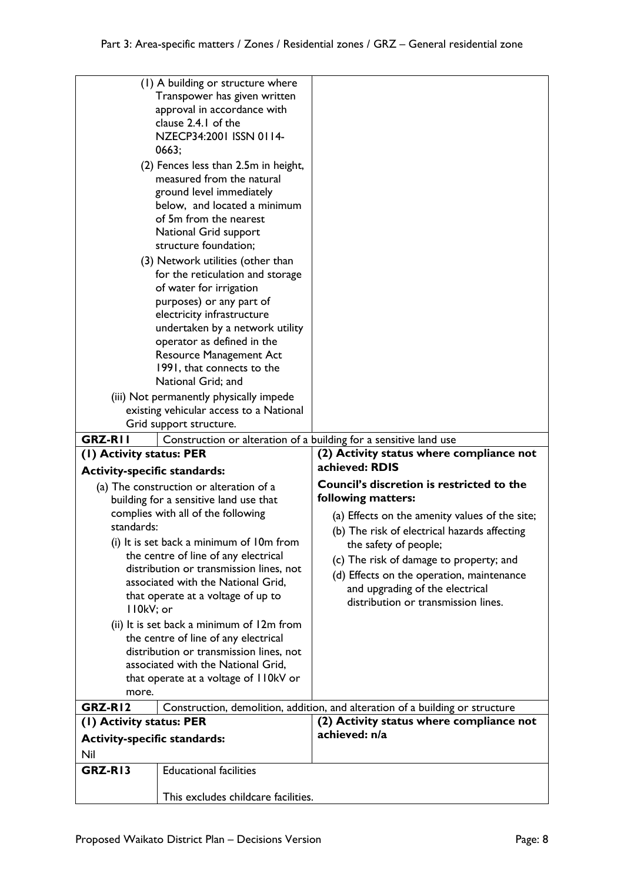| Nil<br>GRZ-RI3                                                  | <b>Educational facilities</b>                                     |                                                                               |
|-----------------------------------------------------------------|-------------------------------------------------------------------|-------------------------------------------------------------------------------|
|                                                                 |                                                                   |                                                                               |
|                                                                 |                                                                   |                                                                               |
| <b>Activity-specific standards:</b>                             |                                                                   |                                                                               |
| (1) Activity status: PER                                        |                                                                   | (2) Activity status where compliance not<br>achieved: n/a                     |
| GRZ-RI2                                                         |                                                                   | Construction, demolition, addition, and alteration of a building or structure |
|                                                                 |                                                                   |                                                                               |
| that operate at a voltage of I IOkV or<br>more.                 |                                                                   |                                                                               |
| associated with the National Grid,                              |                                                                   |                                                                               |
| distribution or transmission lines, not                         |                                                                   |                                                                               |
| the centre of line of any electrical                            |                                                                   |                                                                               |
| (ii) It is set back a minimum of 12m from                       |                                                                   |                                                                               |
| II0kV; or                                                       |                                                                   |                                                                               |
| that operate at a voltage of up to                              |                                                                   | distribution or transmission lines.                                           |
|                                                                 | associated with the National Grid,                                | and upgrading of the electrical                                               |
|                                                                 | distribution or transmission lines, not                           | (d) Effects on the operation, maintenance                                     |
|                                                                 | the centre of line of any electrical                              | (c) The risk of damage to property; and                                       |
|                                                                 | (i) It is set back a minimum of 10m from                          | the safety of people;                                                         |
| standards:                                                      |                                                                   | (b) The risk of electrical hazards affecting                                  |
|                                                                 | complies with all of the following                                | (a) Effects on the amenity values of the site;                                |
|                                                                 | building for a sensitive land use that                            | following matters:                                                            |
|                                                                 | (a) The construction or alteration of a                           | Council's discretion is restricted to the                                     |
| (1) Activity status: PER<br><b>Activity-specific standards:</b> |                                                                   | achieved: RDIS                                                                |
|                                                                 |                                                                   | (2) Activity status where compliance not                                      |
| <b>GRZ-RII</b>                                                  | Construction or alteration of a building for a sensitive land use |                                                                               |
|                                                                 | Grid support structure.                                           |                                                                               |
|                                                                 | existing vehicular access to a National                           |                                                                               |
|                                                                 | (iii) Not permanently physically impede                           |                                                                               |
|                                                                 | National Grid; and                                                |                                                                               |
|                                                                 | <b>Resource Management Act</b><br>1991, that connects to the      |                                                                               |
|                                                                 | operator as defined in the                                        |                                                                               |
|                                                                 | undertaken by a network utility                                   |                                                                               |
|                                                                 | electricity infrastructure                                        |                                                                               |
|                                                                 | purposes) or any part of                                          |                                                                               |
|                                                                 | of water for irrigation                                           |                                                                               |
|                                                                 | for the reticulation and storage                                  |                                                                               |
|                                                                 | (3) Network utilities (other than                                 |                                                                               |
|                                                                 | structure foundation;                                             |                                                                               |
|                                                                 | National Grid support                                             |                                                                               |
|                                                                 | of 5m from the nearest                                            |                                                                               |
|                                                                 | below, and located a minimum                                      |                                                                               |
|                                                                 | ground level immediately                                          |                                                                               |
|                                                                 | measured from the natural                                         |                                                                               |
|                                                                 | (2) Fences less than 2.5m in height,                              |                                                                               |
| 0663;                                                           |                                                                   |                                                                               |
| NZECP34:2001 ISSN 0114-                                         |                                                                   |                                                                               |
|                                                                 | approval in accordance with<br>clause 2.4.1 of the                |                                                                               |
| Transpower has given written                                    |                                                                   |                                                                               |
|                                                                 |                                                                   |                                                                               |
|                                                                 | (1) A building or structure where                                 |                                                                               |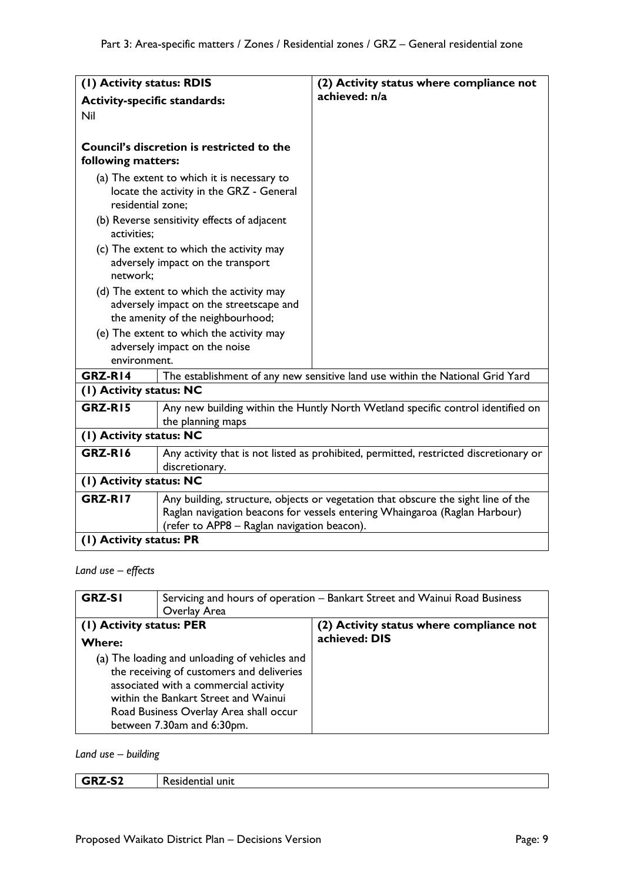| (I) Activity status: RDIS                                                                                          |                                                                                        | (2) Activity status where compliance not                                                                                                                        |
|--------------------------------------------------------------------------------------------------------------------|----------------------------------------------------------------------------------------|-----------------------------------------------------------------------------------------------------------------------------------------------------------------|
|                                                                                                                    |                                                                                        | achieved: n/a                                                                                                                                                   |
| <b>Activity-specific standards:</b>                                                                                |                                                                                        |                                                                                                                                                                 |
| Nil                                                                                                                |                                                                                        |                                                                                                                                                                 |
| following matters:                                                                                                 | Council's discretion is restricted to the                                              |                                                                                                                                                                 |
| residential zone;                                                                                                  | (a) The extent to which it is necessary to<br>locate the activity in the GRZ - General |                                                                                                                                                                 |
| activities;                                                                                                        | (b) Reverse sensitivity effects of adjacent                                            |                                                                                                                                                                 |
| network;                                                                                                           | (c) The extent to which the activity may<br>adversely impact on the transport          |                                                                                                                                                                 |
|                                                                                                                    | (d) The extent to which the activity may<br>adversely impact on the streetscape and    |                                                                                                                                                                 |
|                                                                                                                    | the amenity of the neighbourhood;                                                      |                                                                                                                                                                 |
| (e) The extent to which the activity may                                                                           |                                                                                        |                                                                                                                                                                 |
|                                                                                                                    | adversely impact on the noise                                                          |                                                                                                                                                                 |
| environment.                                                                                                       |                                                                                        |                                                                                                                                                                 |
| GRZ-R14                                                                                                            |                                                                                        | The establishment of any new sensitive land use within the National Grid Yard                                                                                   |
| (1) Activity status: NC                                                                                            |                                                                                        |                                                                                                                                                                 |
| GRZ-RI5<br>the planning maps                                                                                       |                                                                                        | Any new building within the Huntly North Wetland specific control identified on                                                                                 |
| (1) Activity status: NC                                                                                            |                                                                                        |                                                                                                                                                                 |
| GRZ-RI6<br>Any activity that is not listed as prohibited, permitted, restricted discretionary or<br>discretionary. |                                                                                        |                                                                                                                                                                 |
| (1) Activity status: NC                                                                                            |                                                                                        |                                                                                                                                                                 |
| GRZ-RI7<br>(refer to APP8 - Raglan navigation beacon).                                                             |                                                                                        | Any building, structure, objects or vegetation that obscure the sight line of the<br>Raglan navigation beacons for vessels entering Whaingaroa (Raglan Harbour) |
| (1) Activity status: PR                                                                                            |                                                                                        |                                                                                                                                                                 |

*Land use – effects*

| <b>GRZ-SI</b><br>Overlay Area                                                                                                                                                                                                                       | Servicing and hours of operation - Bankart Street and Wainui Road Business |  |
|-----------------------------------------------------------------------------------------------------------------------------------------------------------------------------------------------------------------------------------------------------|----------------------------------------------------------------------------|--|
| (1) Activity status: PER                                                                                                                                                                                                                            | (2) Activity status where compliance not                                   |  |
| <b>Where:</b>                                                                                                                                                                                                                                       | achieved: DIS                                                              |  |
| (a) The loading and unloading of vehicles and<br>the receiving of customers and deliveries<br>associated with a commercial activity<br>within the Bankart Street and Wainui<br>Road Business Overlay Area shall occur<br>between 7.30am and 6:30pm. |                                                                            |  |

*Land use – building*

| CO.<br>$\cdot$ $\cdot$<br>ு⊃∠ | unıt<br>.<br>esidentiai '<br>-56 |
|-------------------------------|----------------------------------|
|                               |                                  |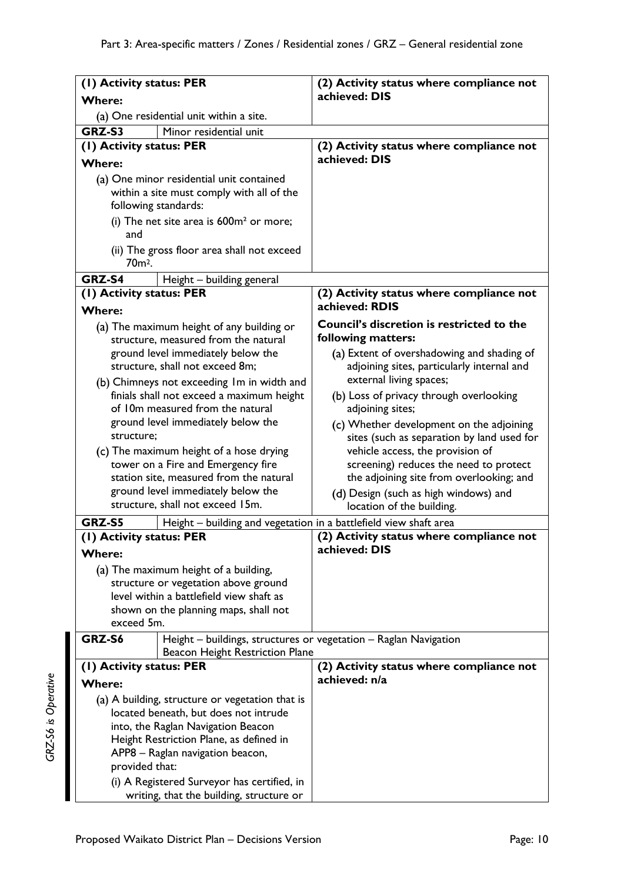| (1) Activity status: PER                                                                                      |                                                                                                                             | (2) Activity status where compliance not<br>achieved: DIS                                                           |
|---------------------------------------------------------------------------------------------------------------|-----------------------------------------------------------------------------------------------------------------------------|---------------------------------------------------------------------------------------------------------------------|
| <b>Where:</b>                                                                                                 |                                                                                                                             |                                                                                                                     |
|                                                                                                               | (a) One residential unit within a site.                                                                                     |                                                                                                                     |
| GRZ-S3                                                                                                        | Minor residential unit                                                                                                      |                                                                                                                     |
| (1) Activity status: PER                                                                                      |                                                                                                                             | (2) Activity status where compliance not                                                                            |
| <b>Where:</b>                                                                                                 |                                                                                                                             | achieved: DIS                                                                                                       |
|                                                                                                               | (a) One minor residential unit contained<br>within a site must comply with all of the<br>following standards:               |                                                                                                                     |
| and                                                                                                           | (i) The net site area is $600m^2$ or more;                                                                                  |                                                                                                                     |
| 70 <sub>m<sup>2</sup>.</sub>                                                                                  | (ii) The gross floor area shall not exceed                                                                                  |                                                                                                                     |
| GRZ-S4                                                                                                        | Height - building general                                                                                                   |                                                                                                                     |
| (1) Activity status: PER                                                                                      |                                                                                                                             | (2) Activity status where compliance not                                                                            |
| <b>Where:</b>                                                                                                 |                                                                                                                             | achieved: RDIS                                                                                                      |
|                                                                                                               | (a) The maximum height of any building or<br>structure, measured from the natural                                           | Council's discretion is restricted to the<br>following matters:                                                     |
|                                                                                                               | ground level immediately below the<br>structure, shall not exceed 8m;                                                       | (a) Extent of overshadowing and shading of<br>adjoining sites, particularly internal and<br>external living spaces; |
|                                                                                                               | (b) Chimneys not exceeding Im in width and<br>finials shall not exceed a maximum height<br>of 10m measured from the natural | (b) Loss of privacy through overlooking<br>adjoining sites;                                                         |
| structure;                                                                                                    | ground level immediately below the                                                                                          | (c) Whether development on the adjoining<br>sites (such as separation by land used for                              |
|                                                                                                               | (c) The maximum height of a hose drying<br>tower on a Fire and Emergency fire                                               | vehicle access, the provision of<br>screening) reduces the need to protect                                          |
|                                                                                                               | station site, measured from the natural<br>ground level immediately below the<br>structure, shall not exceed 15m.           | the adjoining site from overlooking; and<br>(d) Design (such as high windows) and<br>location of the building.      |
| GRZ-S5                                                                                                        | Height – building and vegetation in a battlefield view shaft area                                                           |                                                                                                                     |
| (I) Activity status: PER                                                                                      |                                                                                                                             | (2) Activity status where compliance not                                                                            |
| <b>Where:</b>                                                                                                 |                                                                                                                             | achieved: DIS                                                                                                       |
|                                                                                                               | (a) The maximum height of a building,                                                                                       |                                                                                                                     |
|                                                                                                               | structure or vegetation above ground                                                                                        |                                                                                                                     |
|                                                                                                               | level within a battlefield view shaft as                                                                                    |                                                                                                                     |
| shown on the planning maps, shall not                                                                         |                                                                                                                             |                                                                                                                     |
| exceed 5m.                                                                                                    |                                                                                                                             |                                                                                                                     |
| Height - buildings, structures or vegetation - Raglan Navigation<br>GRZ-S6<br>Beacon Height Restriction Plane |                                                                                                                             |                                                                                                                     |
| (1) Activity status: PER                                                                                      |                                                                                                                             | (2) Activity status where compliance not                                                                            |
| <b>Where:</b>                                                                                                 |                                                                                                                             | achieved: n/a                                                                                                       |
| (a) A building, structure or vegetation that is                                                               |                                                                                                                             |                                                                                                                     |
| located beneath, but does not intrude                                                                         |                                                                                                                             |                                                                                                                     |
| into, the Raglan Navigation Beacon                                                                            |                                                                                                                             |                                                                                                                     |
| Height Restriction Plane, as defined in                                                                       |                                                                                                                             |                                                                                                                     |
| APP8 - Raglan navigation beacon,                                                                              |                                                                                                                             |                                                                                                                     |
| provided that:                                                                                                |                                                                                                                             |                                                                                                                     |
| (i) A Registered Surveyor has certified, in<br>writing, that the building, structure or                       |                                                                                                                             |                                                                                                                     |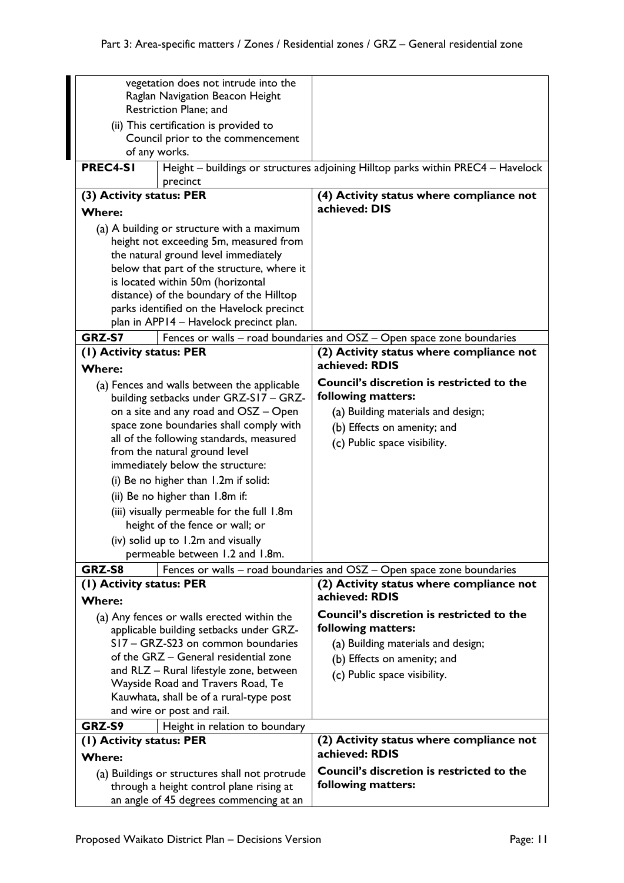|                                                                          | vegetation does not intrude into the           |                                                                                  |
|--------------------------------------------------------------------------|------------------------------------------------|----------------------------------------------------------------------------------|
|                                                                          | Raglan Navigation Beacon Height                |                                                                                  |
| Restriction Plane; and                                                   |                                                |                                                                                  |
|                                                                          | (ii) This certification is provided to         |                                                                                  |
|                                                                          | Council prior to the commencement              |                                                                                  |
|                                                                          | of any works.                                  |                                                                                  |
| PREC4-SI                                                                 | precinct                                       | Height - buildings or structures adjoining Hilltop parks within PREC4 - Havelock |
| (3) Activity status: PER                                                 |                                                | (4) Activity status where compliance not                                         |
| <b>Where:</b>                                                            |                                                | achieved: DIS                                                                    |
|                                                                          | (a) A building or structure with a maximum     |                                                                                  |
|                                                                          | height not exceeding 5m, measured from         |                                                                                  |
|                                                                          | the natural ground level immediately           |                                                                                  |
|                                                                          | below that part of the structure, where it     |                                                                                  |
|                                                                          | is located within 50m (horizontal              |                                                                                  |
|                                                                          | distance) of the boundary of the Hilltop       |                                                                                  |
|                                                                          | parks identified on the Havelock precinct      |                                                                                  |
|                                                                          | plan in APP14 - Havelock precinct plan.        |                                                                                  |
| GRZ-S7                                                                   |                                                | Fences or walls - road boundaries and OSZ - Open space zone boundaries           |
| (1) Activity status: PER                                                 |                                                | (2) Activity status where compliance not                                         |
| <b>Where:</b>                                                            |                                                | achieved: RDIS                                                                   |
|                                                                          | (a) Fences and walls between the applicable    | <b>Council's discretion is restricted to the</b><br>following matters:           |
|                                                                          | building setbacks under GRZ-S17 - GRZ-         |                                                                                  |
|                                                                          | on a site and any road and OSZ - Open          | (a) Building materials and design;                                               |
|                                                                          | space zone boundaries shall comply with        | (b) Effects on amenity; and                                                      |
| all of the following standards, measured                                 |                                                | (c) Public space visibility.                                                     |
| from the natural ground level                                            |                                                |                                                                                  |
| immediately below the structure:<br>(i) Be no higher than 1.2m if solid: |                                                |                                                                                  |
|                                                                          |                                                |                                                                                  |
|                                                                          | (ii) Be no higher than 1.8m if:                |                                                                                  |
|                                                                          | (iii) visually permeable for the full 1.8m     |                                                                                  |
|                                                                          | height of the fence or wall; or                |                                                                                  |
|                                                                          | (iv) solid up to 1.2m and visually             |                                                                                  |
|                                                                          | permeable between 1.2 and 1.8m.                |                                                                                  |
| GRZ-S8                                                                   |                                                | Fences or walls - road boundaries and OSZ - Open space zone boundaries           |
| (1) Activity status: PER<br><b>Where:</b>                                |                                                | (2) Activity status where compliance not<br>achieved: RDIS                       |
|                                                                          | (a) Any fences or walls erected within the     | <b>Council's discretion is restricted to the</b>                                 |
| applicable building setbacks under GRZ-                                  |                                                | following matters:                                                               |
| S17 - GRZ-S23 on common boundaries                                       |                                                | (a) Building materials and design;                                               |
| of the GRZ - General residential zone                                    |                                                | (b) Effects on amenity; and                                                      |
| and RLZ - Rural lifestyle zone, between                                  |                                                | (c) Public space visibility.                                                     |
| Wayside Road and Travers Road, Te                                        |                                                |                                                                                  |
| Kauwhata, shall be of a rural-type post                                  |                                                |                                                                                  |
| and wire or post and rail.                                               |                                                |                                                                                  |
| GRZ-S9                                                                   | Height in relation to boundary                 |                                                                                  |
| (1) Activity status: PER                                                 |                                                | (2) Activity status where compliance not                                         |
| <b>Where:</b>                                                            |                                                | achieved: RDIS                                                                   |
|                                                                          | (a) Buildings or structures shall not protrude | Council's discretion is restricted to the                                        |
|                                                                          | through a height control plane rising at       | following matters:                                                               |
|                                                                          | an angle of 45 degrees commencing at an        |                                                                                  |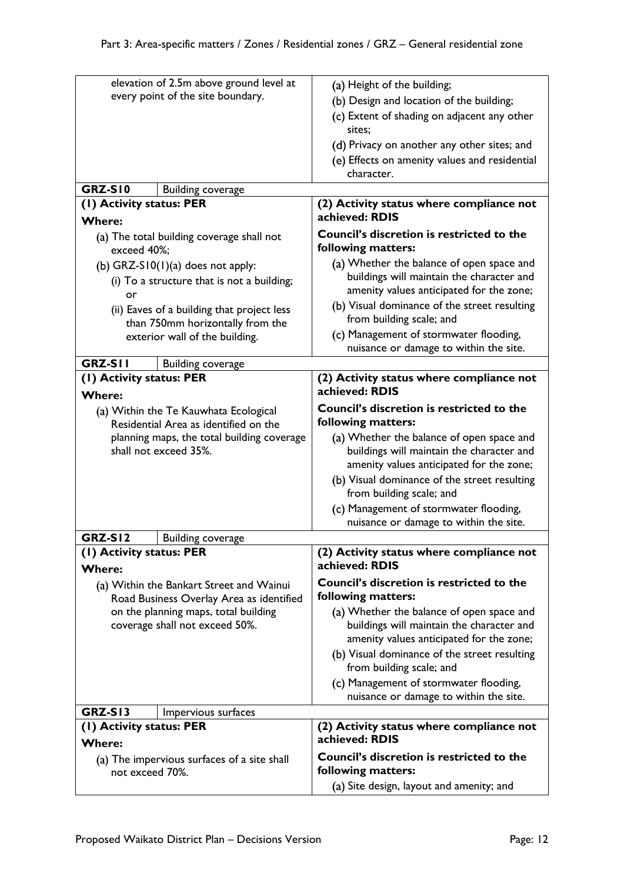|                                             | elevation of 2.5m above ground level at    | (a) Height of the building;                      |
|---------------------------------------------|--------------------------------------------|--------------------------------------------------|
|                                             | every point of the site boundary.          | (b) Design and location of the building;         |
|                                             |                                            | (c) Extent of shading on adjacent any other      |
|                                             |                                            | sites;                                           |
|                                             |                                            | (d) Privacy on another any other sites; and      |
|                                             |                                            | (e) Effects on amenity values and residential    |
|                                             |                                            | character.                                       |
| GRZ-SI0                                     | <b>Building coverage</b>                   |                                                  |
| (1) Activity status: PER                    |                                            | (2) Activity status where compliance not         |
| <b>Where:</b>                               |                                            | achieved: RDIS                                   |
|                                             | (a) The total building coverage shall not  | <b>Council's discretion is restricted to the</b> |
| exceed 40%;                                 |                                            | following matters:                               |
|                                             | (b) $GRZ-S10(1)(a)$ does not apply:        | (a) Whether the balance of open space and        |
|                                             | (i) To a structure that is not a building; | buildings will maintain the character and        |
| or                                          |                                            | amenity values anticipated for the zone;         |
|                                             | (ii) Eaves of a building that project less | (b) Visual dominance of the street resulting     |
|                                             | than 750mm horizontally from the           | from building scale; and                         |
|                                             | exterior wall of the building.             | (c) Management of stormwater flooding,           |
|                                             |                                            | nuisance or damage to within the site.           |
| <b>GRZ-SII</b>                              | <b>Building coverage</b>                   |                                                  |
| (I) Activity status: PER                    |                                            | (2) Activity status where compliance not         |
| <b>Where:</b>                               |                                            | achieved: RDIS                                   |
|                                             | (a) Within the Te Kauwhata Ecological      | <b>Council's discretion is restricted to the</b> |
|                                             | Residential Area as identified on the      | following matters:                               |
|                                             | planning maps, the total building coverage | (a) Whether the balance of open space and        |
|                                             | shall not exceed 35%.                      | buildings will maintain the character and        |
|                                             |                                            | amenity values anticipated for the zone;         |
|                                             |                                            | (b) Visual dominance of the street resulting     |
|                                             |                                            | from building scale; and                         |
|                                             |                                            | (c) Management of stormwater flooding,           |
|                                             |                                            | nuisance or damage to within the site.           |
| GRZ-SI2                                     | <b>Building coverage</b>                   |                                                  |
| (1) Activity status: PER                    |                                            | (2) Activity status where compliance not         |
| <b>Where:</b>                               |                                            | achieved: RDIS                                   |
|                                             | (a) Within the Bankart Street and Wainui   | <b>Council's discretion is restricted to the</b> |
|                                             | Road Business Overlay Area as identified   | following matters:                               |
|                                             | on the planning maps, total building       | (a) Whether the balance of open space and        |
|                                             | coverage shall not exceed 50%.             | buildings will maintain the character and        |
|                                             |                                            | amenity values anticipated for the zone;         |
|                                             |                                            | (b) Visual dominance of the street resulting     |
|                                             |                                            | from building scale; and                         |
|                                             |                                            | (c) Management of stormwater flooding,           |
|                                             |                                            | nuisance or damage to within the site.           |
| <b>GRZ-S13</b>                              | Impervious surfaces                        |                                                  |
| (I) Activity status: PER                    |                                            | (2) Activity status where compliance not         |
| <b>Where:</b>                               |                                            | achieved: RDIS                                   |
| (a) The impervious surfaces of a site shall |                                            | Council's discretion is restricted to the        |
| not exceed 70%.                             |                                            | following matters:                               |
|                                             |                                            | (a) Site design, layout and amenity; and         |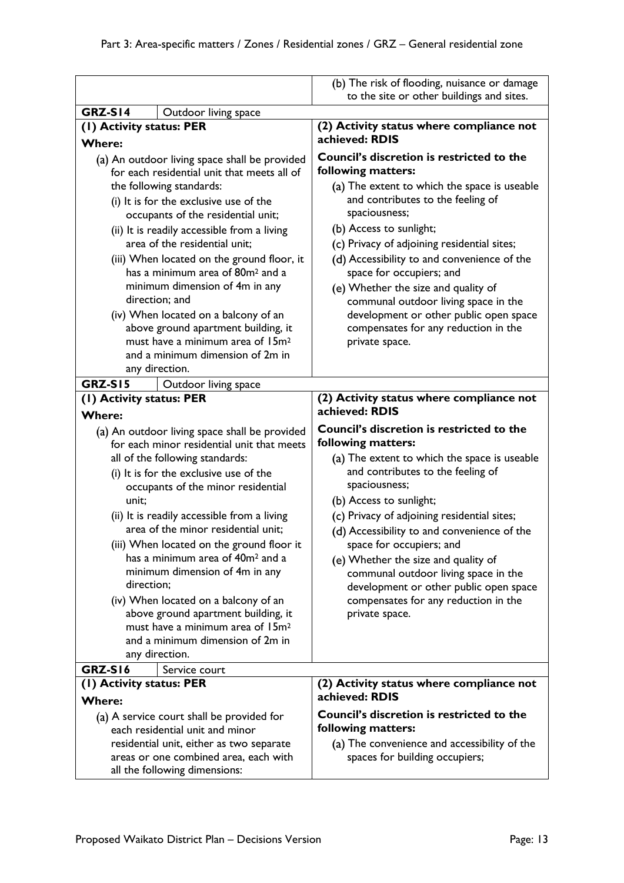|                                                                                                                                                                                                                                                                                                                                                                                                                                                                                                                                                                                                                                                 | (b) The risk of flooding, nuisance or damage                                                                                                                                                                                                                                                                                                                                                                                                                                                                         |
|-------------------------------------------------------------------------------------------------------------------------------------------------------------------------------------------------------------------------------------------------------------------------------------------------------------------------------------------------------------------------------------------------------------------------------------------------------------------------------------------------------------------------------------------------------------------------------------------------------------------------------------------------|----------------------------------------------------------------------------------------------------------------------------------------------------------------------------------------------------------------------------------------------------------------------------------------------------------------------------------------------------------------------------------------------------------------------------------------------------------------------------------------------------------------------|
|                                                                                                                                                                                                                                                                                                                                                                                                                                                                                                                                                                                                                                                 | to the site or other buildings and sites.                                                                                                                                                                                                                                                                                                                                                                                                                                                                            |
| GRZ-SI4<br>Outdoor living space                                                                                                                                                                                                                                                                                                                                                                                                                                                                                                                                                                                                                 |                                                                                                                                                                                                                                                                                                                                                                                                                                                                                                                      |
| (1) Activity status: PER                                                                                                                                                                                                                                                                                                                                                                                                                                                                                                                                                                                                                        | (2) Activity status where compliance not<br>achieved: RDIS                                                                                                                                                                                                                                                                                                                                                                                                                                                           |
| <b>Where:</b><br>(a) An outdoor living space shall be provided<br>for each residential unit that meets all of<br>the following standards:<br>(i) It is for the exclusive use of the<br>occupants of the residential unit;<br>(ii) It is readily accessible from a living<br>area of the residential unit;<br>(iii) When located on the ground floor, it<br>has a minimum area of 80m <sup>2</sup> and a<br>minimum dimension of 4m in any<br>direction: and<br>(iv) When located on a balcony of an<br>above ground apartment building, it<br>must have a minimum area of 15m <sup>2</sup><br>and a minimum dimension of 2m in                  | <b>Council's discretion is restricted to the</b><br>following matters:<br>(a) The extent to which the space is useable<br>and contributes to the feeling of<br>spaciousness;<br>(b) Access to sunlight;<br>(c) Privacy of adjoining residential sites;<br>(d) Accessibility to and convenience of the<br>space for occupiers; and<br>(e) Whether the size and quality of<br>communal outdoor living space in the<br>development or other public open space<br>compensates for any reduction in the<br>private space. |
| any direction.                                                                                                                                                                                                                                                                                                                                                                                                                                                                                                                                                                                                                                  |                                                                                                                                                                                                                                                                                                                                                                                                                                                                                                                      |
| <b>GRZ-S15</b><br>Outdoor living space                                                                                                                                                                                                                                                                                                                                                                                                                                                                                                                                                                                                          |                                                                                                                                                                                                                                                                                                                                                                                                                                                                                                                      |
| (1) Activity status: PER<br><b>Where:</b>                                                                                                                                                                                                                                                                                                                                                                                                                                                                                                                                                                                                       | (2) Activity status where compliance not<br>achieved: RDIS                                                                                                                                                                                                                                                                                                                                                                                                                                                           |
| (a) An outdoor living space shall be provided<br>for each minor residential unit that meets<br>all of the following standards:<br>(i) It is for the exclusive use of the<br>occupants of the minor residential<br>unit;<br>(ii) It is readily accessible from a living<br>area of the minor residential unit:<br>(iii) When located on the ground floor it<br>has a minimum area of 40m <sup>2</sup> and a<br>minimum dimension of 4m in any<br>direction;<br>(iv) When located on a balcony of an<br>above ground apartment building, it<br>must have a minimum area of 15m <sup>2</sup><br>and a minimum dimension of 2m in<br>any direction. | <b>Council's discretion is restricted to the</b><br>following matters:<br>(a) The extent to which the space is useable<br>and contributes to the feeling of<br>spaciousness;<br>(b) Access to sunlight;<br>(c) Privacy of adjoining residential sites;<br>(d) Accessibility to and convenience of the<br>space for occupiers; and<br>(e) Whether the size and quality of<br>communal outdoor living space in the<br>development or other public open space<br>compensates for any reduction in the<br>private space. |
| GRZ-SI6<br>Service court                                                                                                                                                                                                                                                                                                                                                                                                                                                                                                                                                                                                                        |                                                                                                                                                                                                                                                                                                                                                                                                                                                                                                                      |
| (1) Activity status: PER<br><b>Where:</b>                                                                                                                                                                                                                                                                                                                                                                                                                                                                                                                                                                                                       | (2) Activity status where compliance not<br>achieved: RDIS                                                                                                                                                                                                                                                                                                                                                                                                                                                           |
| (a) A service court shall be provided for<br>each residential unit and minor<br>residential unit, either as two separate<br>areas or one combined area, each with<br>all the following dimensions:                                                                                                                                                                                                                                                                                                                                                                                                                                              | <b>Council's discretion is restricted to the</b><br>following matters:<br>(a) The convenience and accessibility of the<br>spaces for building occupiers;                                                                                                                                                                                                                                                                                                                                                             |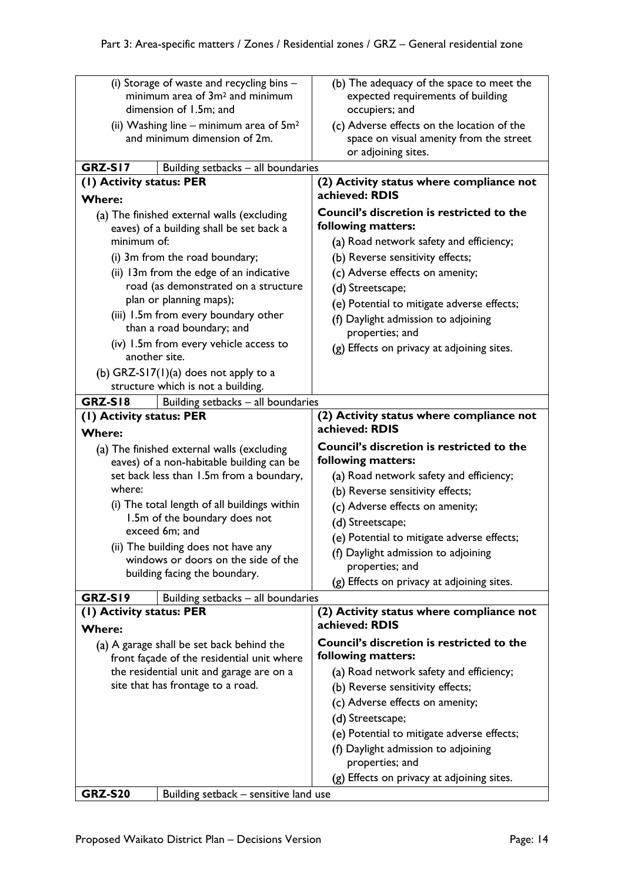| (i) Storage of waste and recycling bins -                                              |                                    | (b) The adequacy of the space to meet the                  |
|----------------------------------------------------------------------------------------|------------------------------------|------------------------------------------------------------|
| minimum area of 3m <sup>2</sup> and minimum                                            |                                    | expected requirements of building                          |
| dimension of 1.5m; and                                                                 |                                    | occupiers; and                                             |
| (ii) Washing line – minimum area of $5m^2$                                             |                                    | (c) Adverse effects on the location of the                 |
| and minimum dimension of 2m.                                                           |                                    | space on visual amenity from the street                    |
|                                                                                        |                                    | or adjoining sites.                                        |
| <b>GRZ-S17</b>                                                                         | Building setbacks - all boundaries |                                                            |
| (1) Activity status: PER                                                               |                                    | (2) Activity status where compliance not                   |
| <b>Where:</b>                                                                          |                                    | achieved: RDIS                                             |
| (a) The finished external walls (excluding                                             |                                    | <b>Council's discretion is restricted to the</b>           |
| eaves) of a building shall be set back a                                               |                                    | following matters:                                         |
| minimum of:                                                                            |                                    | (a) Road network safety and efficiency;                    |
| (i) 3m from the road boundary;                                                         |                                    | (b) Reverse sensitivity effects;                           |
| (ii) 13m from the edge of an indicative                                                |                                    | (c) Adverse effects on amenity;                            |
| road (as demonstrated on a structure                                                   |                                    | (d) Streetscape;                                           |
| plan or planning maps);                                                                |                                    | (e) Potential to mitigate adverse effects;                 |
| (iii) 1.5m from every boundary other                                                   |                                    | (f) Daylight admission to adjoining                        |
| than a road boundary; and                                                              |                                    | properties; and                                            |
| (iv) 1.5m from every vehicle access to                                                 |                                    | (g) Effects on privacy at adjoining sites.                 |
| another site.                                                                          |                                    |                                                            |
| (b) GRZ-S17(1)(a) does not apply to a                                                  |                                    |                                                            |
| structure which is not a building.                                                     |                                    |                                                            |
| <b>GRZ-S18</b><br>(1) Activity status: PER                                             | Building setbacks - all boundaries | (2) Activity status where compliance not                   |
| <b>Where:</b>                                                                          |                                    | achieved: RDIS                                             |
|                                                                                        |                                    |                                                            |
|                                                                                        |                                    |                                                            |
| (a) The finished external walls (excluding                                             |                                    | Council's discretion is restricted to the                  |
| eaves) of a non-habitable building can be                                              |                                    | following matters:                                         |
| set back less than 1.5m from a boundary,<br>where:                                     |                                    | (a) Road network safety and efficiency;                    |
| (i) The total length of all buildings within                                           |                                    | (b) Reverse sensitivity effects;                           |
| 1.5m of the boundary does not                                                          |                                    | (c) Adverse effects on amenity;                            |
| exceed 6m; and                                                                         |                                    | (d) Streetscape;                                           |
| (ii) The building does not have any                                                    |                                    | (e) Potential to mitigate adverse effects;                 |
| windows or doors on the side of the                                                    |                                    | (f) Daylight admission to adjoining                        |
| building facing the boundary.                                                          |                                    | properties; and                                            |
|                                                                                        |                                    | (g) Effects on privacy at adjoining sites.                 |
| GRZ-SI9                                                                                | Building setbacks - all boundaries |                                                            |
| (1) Activity status: PER                                                               |                                    | (2) Activity status where compliance not<br>achieved: RDIS |
| <b>Where:</b>                                                                          |                                    | <b>Council's discretion is restricted to the</b>           |
| (a) A garage shall be set back behind the                                              |                                    | following matters:                                         |
| front façade of the residential unit where<br>the residential unit and garage are on a |                                    | (a) Road network safety and efficiency;                    |
| site that has frontage to a road.                                                      |                                    | (b) Reverse sensitivity effects;                           |
|                                                                                        |                                    | (c) Adverse effects on amenity;                            |
|                                                                                        |                                    |                                                            |
|                                                                                        |                                    | (d) Streetscape;                                           |
|                                                                                        |                                    | (e) Potential to mitigate adverse effects;                 |
|                                                                                        |                                    | (f) Daylight admission to adjoining<br>properties; and     |
|                                                                                        |                                    | (g) Effects on privacy at adjoining sites.                 |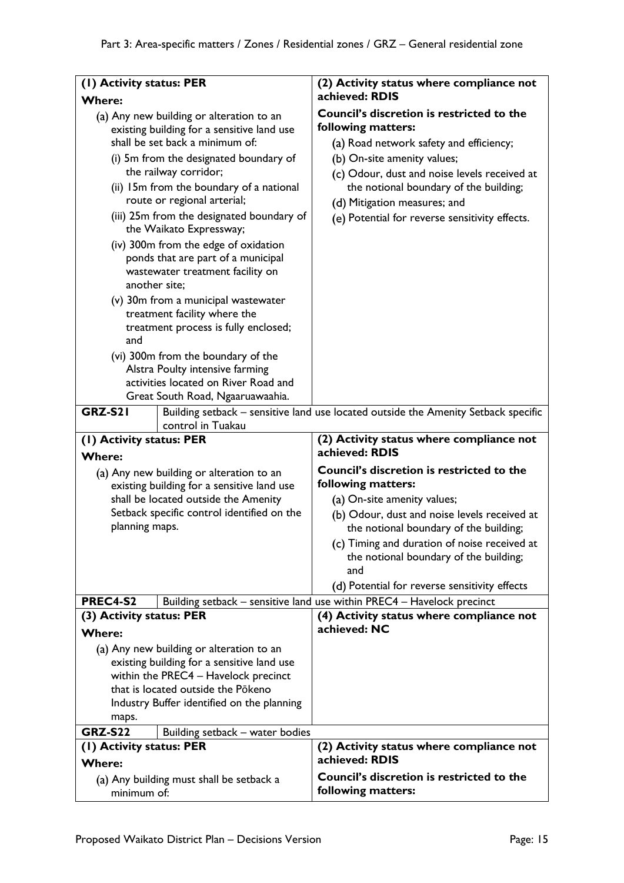| (I) Activity status: PER                  |                                                                                                                                                                                                                                                                                                                                                                                                                                                                                                                                                                                  | (2) Activity status where compliance not                                                                                                                                                                                                                                                                                                          |
|-------------------------------------------|----------------------------------------------------------------------------------------------------------------------------------------------------------------------------------------------------------------------------------------------------------------------------------------------------------------------------------------------------------------------------------------------------------------------------------------------------------------------------------------------------------------------------------------------------------------------------------|---------------------------------------------------------------------------------------------------------------------------------------------------------------------------------------------------------------------------------------------------------------------------------------------------------------------------------------------------|
| <b>Where:</b>                             |                                                                                                                                                                                                                                                                                                                                                                                                                                                                                                                                                                                  | achieved: RDIS                                                                                                                                                                                                                                                                                                                                    |
| another site;                             | (a) Any new building or alteration to an<br>existing building for a sensitive land use<br>shall be set back a minimum of:<br>(i) 5m from the designated boundary of<br>the railway corridor;<br>(ii) 15m from the boundary of a national<br>route or regional arterial;<br>(iii) 25m from the designated boundary of<br>the Waikato Expressway;<br>(iv) 300m from the edge of oxidation<br>ponds that are part of a municipal<br>wastewater treatment facility on<br>(v) 30m from a municipal wastewater<br>treatment facility where the<br>treatment process is fully enclosed; | <b>Council's discretion is restricted to the</b><br>following matters:<br>(a) Road network safety and efficiency;<br>(b) On-site amenity values;<br>(c) Odour, dust and noise levels received at<br>the notional boundary of the building;<br>(d) Mitigation measures; and<br>(e) Potential for reverse sensitivity effects.                      |
| and<br><b>GRZ-S21</b>                     | (vi) 300m from the boundary of the<br>Alstra Poulty intensive farming<br>activities located on River Road and<br>Great South Road, Ngaaruawaahia.<br>control in Tuakau                                                                                                                                                                                                                                                                                                                                                                                                           | Building setback - sensitive land use located outside the Amenity Setback specific                                                                                                                                                                                                                                                                |
| (I) Activity status: PER                  |                                                                                                                                                                                                                                                                                                                                                                                                                                                                                                                                                                                  | (2) Activity status where compliance not                                                                                                                                                                                                                                                                                                          |
|                                           |                                                                                                                                                                                                                                                                                                                                                                                                                                                                                                                                                                                  |                                                                                                                                                                                                                                                                                                                                                   |
|                                           |                                                                                                                                                                                                                                                                                                                                                                                                                                                                                                                                                                                  | achieved: RDIS                                                                                                                                                                                                                                                                                                                                    |
| <b>Where:</b><br>planning maps.           | (a) Any new building or alteration to an<br>existing building for a sensitive land use<br>shall be located outside the Amenity<br>Setback specific control identified on the                                                                                                                                                                                                                                                                                                                                                                                                     | <b>Council's discretion is restricted to the</b><br>following matters:<br>(a) On-site amenity values;<br>(b) Odour, dust and noise levels received at<br>the notional boundary of the building;<br>(c) Timing and duration of noise received at<br>the notional boundary of the building;<br>and<br>(d) Potential for reverse sensitivity effects |
| <b>PREC4-S2</b>                           |                                                                                                                                                                                                                                                                                                                                                                                                                                                                                                                                                                                  | Building setback - sensitive land use within PREC4 - Havelock precinct                                                                                                                                                                                                                                                                            |
| (3) Activity status: PER<br><b>Where:</b> | (a) Any new building or alteration to an<br>existing building for a sensitive land use                                                                                                                                                                                                                                                                                                                                                                                                                                                                                           | (4) Activity status where compliance not<br>achieved: NC                                                                                                                                                                                                                                                                                          |
|                                           | within the PREC4 - Havelock precinct<br>that is located outside the Pokeno                                                                                                                                                                                                                                                                                                                                                                                                                                                                                                       |                                                                                                                                                                                                                                                                                                                                                   |
|                                           | Industry Buffer identified on the planning                                                                                                                                                                                                                                                                                                                                                                                                                                                                                                                                       |                                                                                                                                                                                                                                                                                                                                                   |
| maps.                                     |                                                                                                                                                                                                                                                                                                                                                                                                                                                                                                                                                                                  |                                                                                                                                                                                                                                                                                                                                                   |
| <b>GRZ-S22</b>                            | Building setback - water bodies                                                                                                                                                                                                                                                                                                                                                                                                                                                                                                                                                  |                                                                                                                                                                                                                                                                                                                                                   |
| (1) Activity status: PER<br><b>Where:</b> |                                                                                                                                                                                                                                                                                                                                                                                                                                                                                                                                                                                  | (2) Activity status where compliance not<br>achieved: RDIS                                                                                                                                                                                                                                                                                        |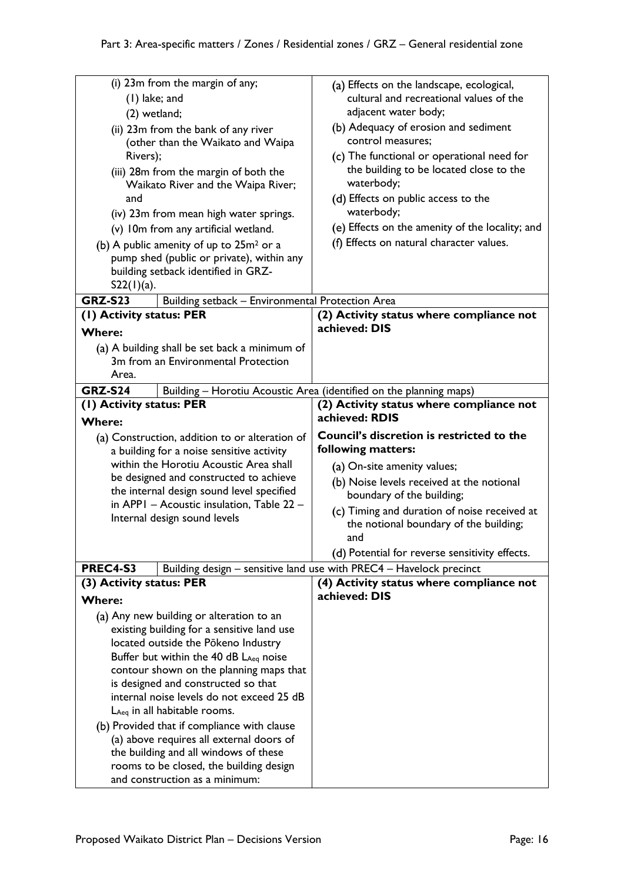| (i) 23m from the margin of any;                     |                                                                                  | (a) Effects on the landscape, ecological,                           |
|-----------------------------------------------------|----------------------------------------------------------------------------------|---------------------------------------------------------------------|
|                                                     | $(1)$ lake; and                                                                  | cultural and recreational values of the                             |
| (2) wetland;                                        |                                                                                  | adjacent water body;                                                |
| (ii) 23m from the bank of any river                 |                                                                                  | (b) Adequacy of erosion and sediment                                |
| (other than the Waikato and Waipa                   |                                                                                  | control measures;                                                   |
| Rivers);                                            |                                                                                  | (c) The functional or operational need for                          |
| (iii) 28m from the margin of both the               |                                                                                  | the building to be located close to the                             |
| Waikato River and the Waipa River;                  |                                                                                  | waterbody;                                                          |
| and                                                 |                                                                                  | (d) Effects on public access to the                                 |
| (iv) 23m from mean high water springs.              |                                                                                  | waterbody;                                                          |
| (v) 10m from any artificial wetland.                |                                                                                  | (e) Effects on the amenity of the locality; and                     |
| (b) A public amenity of up to 25m <sup>2</sup> or a |                                                                                  | (f) Effects on natural character values.                            |
|                                                     | pump shed (public or private), within any                                        |                                                                     |
|                                                     | building setback identified in GRZ-                                              |                                                                     |
| $S22(1)(a)$ .                                       |                                                                                  |                                                                     |
| <b>GRZ-S23</b>                                      | Building setback - Environmental Protection Area                                 |                                                                     |
| (1) Activity status: PER                            |                                                                                  | (2) Activity status where compliance not<br>achieved: DIS           |
| <b>Where:</b>                                       |                                                                                  |                                                                     |
|                                                     | (a) A building shall be set back a minimum of                                    |                                                                     |
|                                                     | 3m from an Environmental Protection                                              |                                                                     |
| Area.                                               |                                                                                  |                                                                     |
| <b>GRZ-S24</b>                                      |                                                                                  | Building - Horotiu Acoustic Area (identified on the planning maps)  |
| (I) Activity status: PER                            |                                                                                  | (2) Activity status where compliance not<br>achieved: RDIS          |
| <b>Where:</b>                                       |                                                                                  |                                                                     |
|                                                     |                                                                                  |                                                                     |
|                                                     | (a) Construction, addition to or alteration of                                   | <b>Council's discretion is restricted to the</b>                    |
|                                                     | a building for a noise sensitive activity                                        | following matters:                                                  |
|                                                     | within the Horotiu Acoustic Area shall                                           | (a) On-site amenity values;                                         |
|                                                     | be designed and constructed to achieve                                           | (b) Noise levels received at the notional                           |
|                                                     | the internal design sound level specified                                        | boundary of the building;                                           |
|                                                     | in APPI - Acoustic insulation, Table 22 -                                        | (c) Timing and duration of noise received at                        |
|                                                     | Internal design sound levels                                                     | the notional boundary of the building;                              |
|                                                     |                                                                                  | and                                                                 |
|                                                     |                                                                                  | (d) Potential for reverse sensitivity effects.                      |
| <b>PREC4-S3</b>                                     |                                                                                  | Building design - sensitive land use with PREC4 - Havelock precinct |
| (3) Activity status: PER                            |                                                                                  | (4) Activity status where compliance not                            |
| <b>Where:</b>                                       |                                                                                  | achieved: DIS                                                       |
|                                                     | (a) Any new building or alteration to an                                         |                                                                     |
|                                                     | existing building for a sensitive land use                                       |                                                                     |
|                                                     | located outside the Pōkeno Industry                                              |                                                                     |
|                                                     | Buffer but within the 40 dB $L_{Aeq}$ noise                                      |                                                                     |
|                                                     | contour shown on the planning maps that                                          |                                                                     |
|                                                     | is designed and constructed so that                                              |                                                                     |
|                                                     | internal noise levels do not exceed 25 dB                                        |                                                                     |
|                                                     | $L_{Aeq}$ in all habitable rooms.                                                |                                                                     |
|                                                     | (b) Provided that if compliance with clause                                      |                                                                     |
|                                                     | (a) above requires all external doors of                                         |                                                                     |
|                                                     | the building and all windows of these<br>rooms to be closed, the building design |                                                                     |